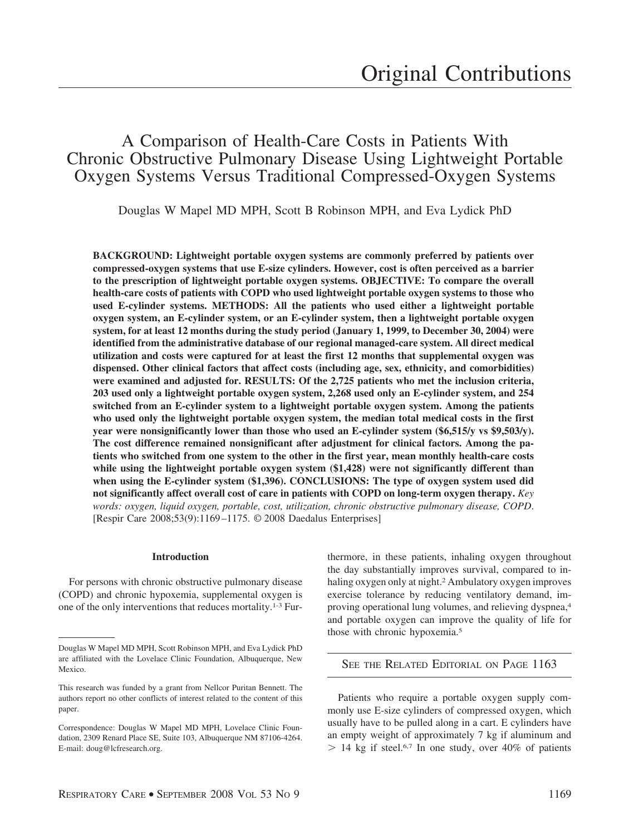# A Comparison of Health-Care Costs in Patients With Chronic Obstructive Pulmonary Disease Using Lightweight Portable Oxygen Systems Versus Traditional Compressed-Oxygen Systems

Douglas W Mapel MD MPH, Scott B Robinson MPH, and Eva Lydick PhD

**BACKGROUND: Lightweight portable oxygen systems are commonly preferred by patients over compressed-oxygen systems that use E-size cylinders. However, cost is often perceived as a barrier to the prescription of lightweight portable oxygen systems. OBJECTIVE: To compare the overall health-care costs of patients with COPD who used lightweight portable oxygen systems to those who used E-cylinder systems. METHODS: All the patients who used either a lightweight portable oxygen system, an E-cylinder system, or an E-cylinder system, then a lightweight portable oxygen system, for at least 12 months during the study period (January 1, 1999, to December 30, 2004) were identified from the administrative database of our regional managed-care system. All direct medical utilization and costs were captured for at least the first 12 months that supplemental oxygen was dispensed. Other clinical factors that affect costs (including age, sex, ethnicity, and comorbidities) were examined and adjusted for. RESULTS: Of the 2,725 patients who met the inclusion criteria, 203 used only a lightweight portable oxygen system, 2,268 used only an E-cylinder system, and 254 switched from an E-cylinder system to a lightweight portable oxygen system. Among the patients who used only the lightweight portable oxygen system, the median total medical costs in the first year were nonsignificantly lower than those who used an E-cylinder system (\$6,515/y vs \$9,503/y). The cost difference remained nonsignificant after adjustment for clinical factors. Among the patients who switched from one system to the other in the first year, mean monthly health-care costs while using the lightweight portable oxygen system (\$1,428) were not significantly different than when using the E-cylinder system (\$1,396). CONCLUSIONS: The type of oxygen system used did not significantly affect overall cost of care in patients with COPD on long-term oxygen therapy.** *Key words: oxygen, liquid oxygen, portable, cost, utilization, chronic obstructive pulmonary disease, COPD*. [Respir Care 2008;53(9):1169 –1175. © 2008 Daedalus Enterprises]

## **Introduction**

For persons with chronic obstructive pulmonary disease (COPD) and chronic hypoxemia, supplemental oxygen is one of the only interventions that reduces mortality.1-3 Furthermore, in these patients, inhaling oxygen throughout the day substantially improves survival, compared to inhaling oxygen only at night.2 Ambulatory oxygen improves exercise tolerance by reducing ventilatory demand, improving operational lung volumes, and relieving dyspnea,4 and portable oxygen can improve the quality of life for those with chronic hypoxemia.5

SEE THE RELATED EDITORIAL ON PAGE 1163

Patients who require a portable oxygen supply commonly use E-size cylinders of compressed oxygen, which usually have to be pulled along in a cart. E cylinders have an empty weight of approximately 7 kg if aluminum and  $> 14$  kg if steel.<sup>6,7</sup> In one study, over 40% of patients

Douglas W Mapel MD MPH, Scott Robinson MPH, and Eva Lydick PhD are affiliated with the Lovelace Clinic Foundation, Albuquerque, New Mexico.

This research was funded by a grant from Nellcor Puritan Bennett. The authors report no other conflicts of interest related to the content of this paper.

Correspondence: Douglas W Mapel MD MPH, Lovelace Clinic Foundation, 2309 Renard Place SE, Suite 103, Albuquerque NM 87106-4264. E-mail: doug@lcfresearch.org.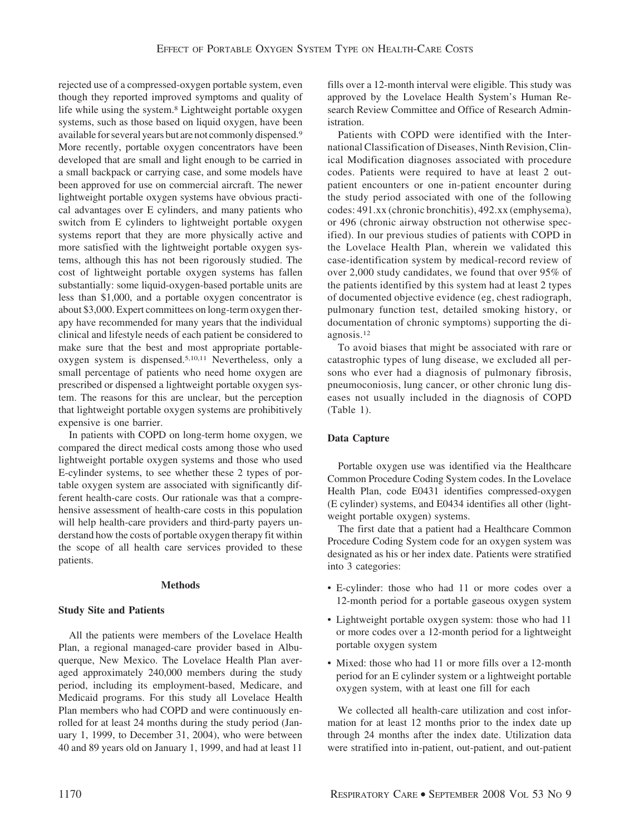rejected use of a compressed-oxygen portable system, even though they reported improved symptoms and quality of life while using the system.8 Lightweight portable oxygen systems, such as those based on liquid oxygen, have been available for several years but are not commonly dispensed.9 More recently, portable oxygen concentrators have been developed that are small and light enough to be carried in a small backpack or carrying case, and some models have been approved for use on commercial aircraft. The newer lightweight portable oxygen systems have obvious practical advantages over E cylinders, and many patients who switch from E cylinders to lightweight portable oxygen systems report that they are more physically active and more satisfied with the lightweight portable oxygen systems, although this has not been rigorously studied. The cost of lightweight portable oxygen systems has fallen substantially: some liquid-oxygen-based portable units are less than \$1,000, and a portable oxygen concentrator is about \$3,000. Expert committees on long-term oxygen therapy have recommended for many years that the individual clinical and lifestyle needs of each patient be considered to make sure that the best and most appropriate portableoxygen system is dispensed.5,10,11 Nevertheless, only a small percentage of patients who need home oxygen are prescribed or dispensed a lightweight portable oxygen system. The reasons for this are unclear, but the perception that lightweight portable oxygen systems are prohibitively expensive is one barrier.

In patients with COPD on long-term home oxygen, we compared the direct medical costs among those who used lightweight portable oxygen systems and those who used E-cylinder systems, to see whether these 2 types of portable oxygen system are associated with significantly different health-care costs. Our rationale was that a comprehensive assessment of health-care costs in this population will help health-care providers and third-party payers understand how the costs of portable oxygen therapy fit within the scope of all health care services provided to these patients.

#### **Methods**

## **Study Site and Patients**

All the patients were members of the Lovelace Health Plan, a regional managed-care provider based in Albuquerque, New Mexico. The Lovelace Health Plan averaged approximately 240,000 members during the study period, including its employment-based, Medicare, and Medicaid programs. For this study all Lovelace Health Plan members who had COPD and were continuously enrolled for at least 24 months during the study period (January 1, 1999, to December 31, 2004), who were between 40 and 89 years old on January 1, 1999, and had at least 11

fills over a 12-month interval were eligible. This study was approved by the Lovelace Health System's Human Research Review Committee and Office of Research Administration.

Patients with COPD were identified with the International Classification of Diseases, Ninth Revision, Clinical Modification diagnoses associated with procedure codes. Patients were required to have at least 2 outpatient encounters or one in-patient encounter during the study period associated with one of the following codes: 491.xx (chronic bronchitis), 492.xx (emphysema), or 496 (chronic airway obstruction not otherwise specified). In our previous studies of patients with COPD in the Lovelace Health Plan, wherein we validated this case-identification system by medical-record review of over 2,000 study candidates, we found that over 95% of the patients identified by this system had at least 2 types of documented objective evidence (eg, chest radiograph, pulmonary function test, detailed smoking history, or documentation of chronic symptoms) supporting the diagnosis.12

To avoid biases that might be associated with rare or catastrophic types of lung disease, we excluded all persons who ever had a diagnosis of pulmonary fibrosis, pneumoconiosis, lung cancer, or other chronic lung diseases not usually included in the diagnosis of COPD (Table 1).

### **Data Capture**

Portable oxygen use was identified via the Healthcare Common Procedure Coding System codes. In the Lovelace Health Plan, code E0431 identifies compressed-oxygen (E cylinder) systems, and E0434 identifies all other (lightweight portable oxygen) systems.

The first date that a patient had a Healthcare Common Procedure Coding System code for an oxygen system was designated as his or her index date. Patients were stratified into 3 categories:

- E-cylinder: those who had 11 or more codes over a 12-month period for a portable gaseous oxygen system
- Lightweight portable oxygen system: those who had 11 or more codes over a 12-month period for a lightweight portable oxygen system
- Mixed: those who had 11 or more fills over a 12-month period for an E cylinder system or a lightweight portable oxygen system, with at least one fill for each

We collected all health-care utilization and cost information for at least 12 months prior to the index date up through 24 months after the index date. Utilization data were stratified into in-patient, out-patient, and out-patient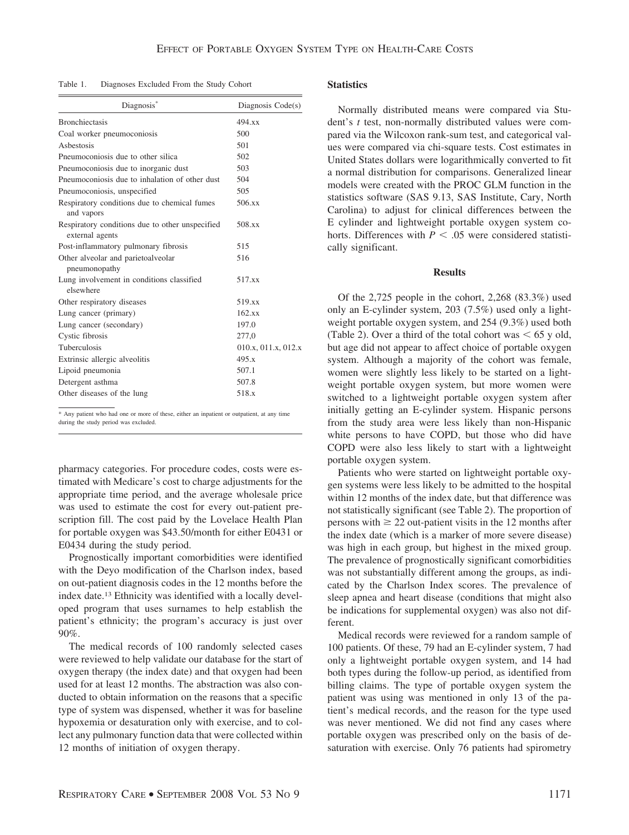Table 1. Diagnoses Excluded From the Study Cohort

| Diagnosis <sup>®</sup>                                             | Diagnosis Code(s)   |  |  |
|--------------------------------------------------------------------|---------------------|--|--|
| <b>Bronchiectasis</b>                                              | 494.xx              |  |  |
| Coal worker pneumoconiosis                                         | 500                 |  |  |
| Ashestosis                                                         | 501                 |  |  |
| Pneumoconiosis due to other silica                                 | 502                 |  |  |
| Pneumoconiosis due to inorganic dust                               | 503                 |  |  |
| Pneumoconiosis due to inhalation of other dust                     | 504                 |  |  |
| Pneumoconiosis, unspecified                                        | 505                 |  |  |
| Respiratory conditions due to chemical fumes<br>and vapors         | 506.xx              |  |  |
| Respiratory conditions due to other unspecified<br>external agents | 508.xx              |  |  |
| Post-inflammatory pulmonary fibrosis                               | 515                 |  |  |
| Other alveolar and parietoalveolar<br>pneumonopathy                | 516                 |  |  |
| Lung involvement in conditions classified<br>elsewhere             | 517.xx              |  |  |
| Other respiratory diseases                                         | 519.xx              |  |  |
| Lung cancer (primary)                                              | 162.xx              |  |  |
| Lung cancer (secondary)                                            | 197.0               |  |  |
| Cystic fibrosis                                                    | 277,0               |  |  |
| Tuberculosis                                                       | 010.x, 011.x, 012.x |  |  |
| Extrinsic allergic alveolitis                                      | 495.x               |  |  |
| Lipoid pneumonia                                                   | 507.1               |  |  |
| Detergent asthma                                                   | 507.8               |  |  |
| Other diseases of the lung                                         | 518.x               |  |  |

\* Any patient who had one or more of these, either an inpatient or outpatient, at any time during the study period was excluded.

pharmacy categories. For procedure codes, costs were estimated with Medicare's cost to charge adjustments for the appropriate time period, and the average wholesale price was used to estimate the cost for every out-patient prescription fill. The cost paid by the Lovelace Health Plan for portable oxygen was \$43.50/month for either E0431 or E0434 during the study period.

Prognostically important comorbidities were identified with the Deyo modification of the Charlson index, based on out-patient diagnosis codes in the 12 months before the index date.13 Ethnicity was identified with a locally developed program that uses surnames to help establish the patient's ethnicity; the program's accuracy is just over 90%.

The medical records of 100 randomly selected cases were reviewed to help validate our database for the start of oxygen therapy (the index date) and that oxygen had been used for at least 12 months. The abstraction was also conducted to obtain information on the reasons that a specific type of system was dispensed, whether it was for baseline hypoxemia or desaturation only with exercise, and to collect any pulmonary function data that were collected within 12 months of initiation of oxygen therapy.

#### **Statistics**

Normally distributed means were compared via Student's *t* test, non-normally distributed values were compared via the Wilcoxon rank-sum test, and categorical values were compared via chi-square tests. Cost estimates in United States dollars were logarithmically converted to fit a normal distribution for comparisons. Generalized linear models were created with the PROC GLM function in the statistics software (SAS 9.13, SAS Institute, Cary, North Carolina) to adjust for clinical differences between the E cylinder and lightweight portable oxygen system cohorts. Differences with  $P < .05$  were considered statistically significant.

#### **Results**

Of the 2,725 people in the cohort, 2,268 (83.3%) used only an E-cylinder system, 203 (7.5%) used only a lightweight portable oxygen system, and 254 (9.3%) used both (Table 2). Over a third of the total cohort was  $\leq 65$  y old, but age did not appear to affect choice of portable oxygen system. Although a majority of the cohort was female, women were slightly less likely to be started on a lightweight portable oxygen system, but more women were switched to a lightweight portable oxygen system after initially getting an E-cylinder system. Hispanic persons from the study area were less likely than non-Hispanic white persons to have COPD, but those who did have COPD were also less likely to start with a lightweight portable oxygen system.

Patients who were started on lightweight portable oxygen systems were less likely to be admitted to the hospital within 12 months of the index date, but that difference was not statistically significant (see Table 2). The proportion of persons with  $\geq 22$  out-patient visits in the 12 months after the index date (which is a marker of more severe disease) was high in each group, but highest in the mixed group. The prevalence of prognostically significant comorbidities was not substantially different among the groups, as indicated by the Charlson Index scores. The prevalence of sleep apnea and heart disease (conditions that might also be indications for supplemental oxygen) was also not different.

Medical records were reviewed for a random sample of 100 patients. Of these, 79 had an E-cylinder system, 7 had only a lightweight portable oxygen system, and 14 had both types during the follow-up period, as identified from billing claims. The type of portable oxygen system the patient was using was mentioned in only 13 of the patient's medical records, and the reason for the type used was never mentioned. We did not find any cases where portable oxygen was prescribed only on the basis of desaturation with exercise. Only 76 patients had spirometry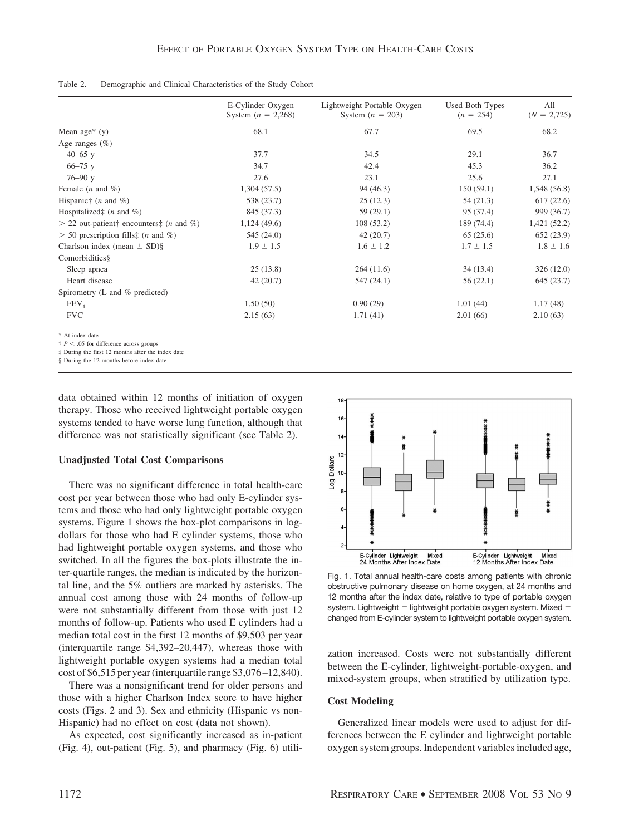| Table 2. |  |  |  | Demographic and Clinical Characteristics of the Study Cohort |  |  |  |  |
|----------|--|--|--|--------------------------------------------------------------|--|--|--|--|
|----------|--|--|--|--------------------------------------------------------------|--|--|--|--|

|                                                                    | E-Cylinder Oxygen<br>System $(n = 2,268)$ | Lightweight Portable Oxygen<br>System $(n = 203)$ | Used Both Types<br>$(n = 254)$ | All<br>$(N = 2,725)$ |
|--------------------------------------------------------------------|-------------------------------------------|---------------------------------------------------|--------------------------------|----------------------|
| Mean age* $(y)$                                                    | 68.1                                      | 67.7                                              | 69.5                           | 68.2                 |
| Age ranges $(\% )$                                                 |                                           |                                                   |                                |                      |
| $40 - 65$ y                                                        | 37.7                                      | 34.5                                              | 29.1                           | 36.7                 |
| $66 - 75$ y                                                        | 34.7                                      | 42.4                                              | 45.3                           | 36.2                 |
| $76 - 90y$                                                         | 27.6                                      | 23.1                                              | 25.6                           | 27.1                 |
| Female $(n \text{ and } \%)$                                       | 1,304(57.5)                               | 94(46.3)                                          | 150(59.1)                      | 1,548(56.8)          |
| Hispanic† $(n \text{ and } \%)$                                    | 538 (23.7)                                | 25(12.3)                                          | 54(21.3)                       | 617(22.6)            |
| Hospitalized $\ddagger$ ( <i>n</i> and %)                          | 845 (37.3)                                | 59(29.1)                                          | 95 (37.4)                      | 999 (36.7)           |
| $> 22$ out-patient† encounters‡ ( <i>n</i> and %)                  | 1,124(49.6)                               | 108(53.2)                                         | 189 (74.4)                     | 1,421(52.2)          |
| $>$ 50 prescription fills: ( <i>n</i> and %)                       | 545 (24.0)                                | 42(20.7)                                          | 65(25.6)                       | 652(23.9)            |
| Charlson index (mean $\pm$ SD)§                                    | $1.9 \pm 1.5$                             | $1.6 \pm 1.2$                                     | $1.7 \pm 1.5$                  | $1.8 \pm 1.6$        |
| Comorbidities§                                                     |                                           |                                                   |                                |                      |
| Sleep apnea                                                        | 25(13.8)                                  | 264(11.6)                                         | 34(13.4)                       | 326(12.0)            |
| Heart disease                                                      | 42(20.7)                                  | 547 (24.1)                                        | 56(22.1)                       | 645(23.7)            |
| Spirometry (L and % predicted)                                     |                                           |                                                   |                                |                      |
| FEV <sub>1</sub>                                                   | 1.50(50)                                  | 0.90(29)                                          | 1.01(44)                       | 1.17(48)             |
| <b>FVC</b>                                                         | 2.15(63)                                  | 1.71(41)                                          | 2.01(66)                       | 2.10(63)             |
| * At index date<br>$\uparrow$ P < .05 for difference across groups |                                           |                                                   |                                |                      |

‡ During the first 12 months after the index date

§ During the 12 months before index date

data obtained within 12 months of initiation of oxygen therapy. Those who received lightweight portable oxygen systems tended to have worse lung function, although that difference was not statistically significant (see Table 2).

#### **Unadjusted Total Cost Comparisons**

There was no significant difference in total health-care cost per year between those who had only E-cylinder systems and those who had only lightweight portable oxygen systems. Figure 1 shows the box-plot comparisons in logdollars for those who had E cylinder systems, those who had lightweight portable oxygen systems, and those who switched. In all the figures the box-plots illustrate the inter-quartile ranges, the median is indicated by the horizontal line, and the 5% outliers are marked by asterisks. The annual cost among those with 24 months of follow-up were not substantially different from those with just 12 months of follow-up. Patients who used E cylinders had a median total cost in the first 12 months of \$9,503 per year (interquartile range \$4,392–20,447), whereas those with lightweight portable oxygen systems had a median total cost of \$6,515 per year (interquartile range \$3,076 –12,840).

There was a nonsignificant trend for older persons and those with a higher Charlson Index score to have higher costs (Figs. 2 and 3). Sex and ethnicity (Hispanic vs non-Hispanic) had no effect on cost (data not shown).

As expected, cost significantly increased as in-patient (Fig. 4), out-patient (Fig. 5), and pharmacy (Fig. 6) utili-



Fig. 1. Total annual health-care costs among patients with chronic obstructive pulmonary disease on home oxygen, at 24 months and 12 months after the index date, relative to type of portable oxygen system. Lightweight  $=$  lightweight portable oxygen system. Mixed  $=$ changed from E-cylinder system to lightweight portable oxygen system.

zation increased. Costs were not substantially different between the E-cylinder, lightweight-portable-oxygen, and mixed-system groups, when stratified by utilization type.

## **Cost Modeling**

Generalized linear models were used to adjust for differences between the E cylinder and lightweight portable oxygen system groups. Independent variables included age,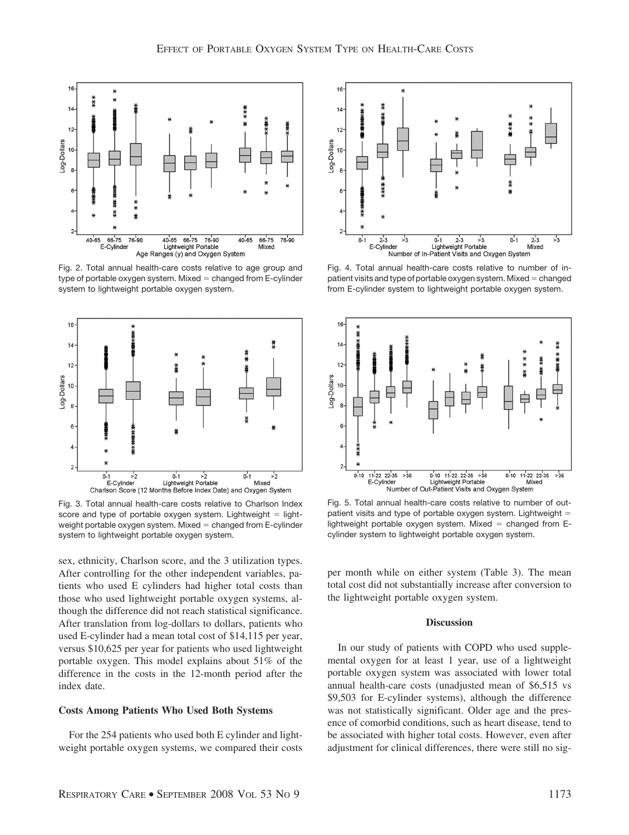

Fig. 2. Total annual health-care costs relative to age group and type of portable oxygen system. Mixed  $=$  changed from E-cylinder system to lightweight portable oxygen system.



Fig. 3. Total annual health-care costs relative to Charlson Index score and type of portable oxygen system. Lightweight  $=$  lightweight portable oxygen system. Mixed  $=$  changed from E-cylinder system to lightweight portable oxygen system.

sex, ethnicity, Charlson score, and the 3 utilization types. After controlling for the other independent variables, patients who used E cylinders had higher total costs than those who used lightweight portable oxygen systems, although the difference did not reach statistical significance. After translation from log-dollars to dollars, patients who used E-cylinder had a mean total cost of \$14,115 per year, versus \$10,625 per year for patients who used lightweight portable oxygen. This model explains about 51% of the difference in the costs in the 12-month period after the index date.

#### **Costs Among Patients Who Used Both Systems**

For the 254 patients who used both E cylinder and lightweight portable oxygen systems, we compared their costs



Fig. 4. Total annual health-care costs relative to number of inpatient visits and type of portable oxygen system. Mixed  $=$  changed from E-cylinder system to lightweight portable oxygen system.



Fig. 5. Total annual health-care costs relative to number of outpatient visits and type of portable oxygen system. Lightweight lightweight portable oxygen system. Mixed  $=$  changed from Ecylinder system to lightweight portable oxygen system.

per month while on either system (Table 3). The mean total cost did not substantially increase after conversion to the lightweight portable oxygen system.

#### **Discussion**

In our study of patients with COPD who used supplemental oxygen for at least 1 year, use of a lightweight portable oxygen system was associated with lower total annual health-care costs (unadjusted mean of \$6,515 vs \$9,503 for E-cylinder systems), although the difference was not statistically significant. Older age and the presence of comorbid conditions, such as heart disease, tend to be associated with higher total costs. However, even after adjustment for clinical differences, there were still no sig-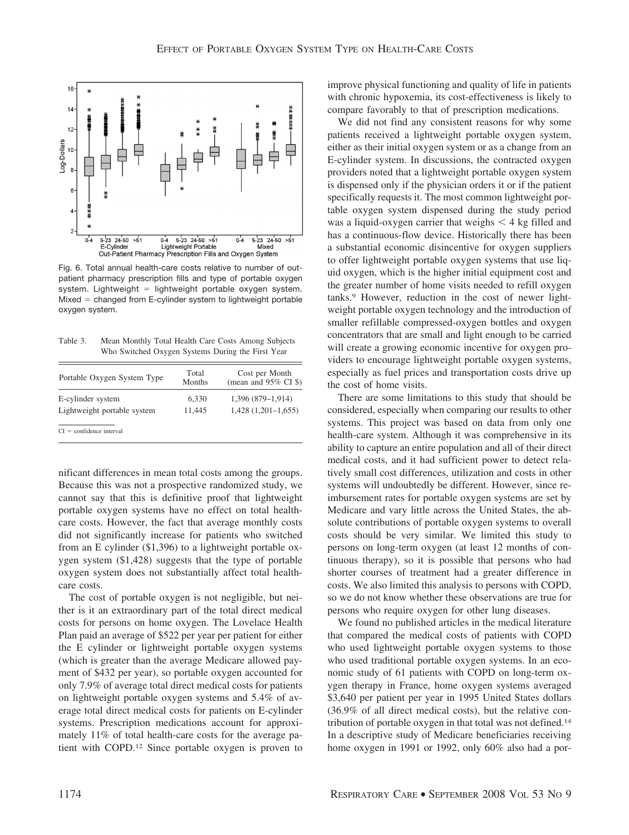

Fig. 6. Total annual health-care costs relative to number of outpatient pharmacy prescription fills and type of portable oxygen system. Lightweight  $=$  lightweight portable oxygen system.  $Mixed = changed from E-cylinder system to lightweight portable$ oxygen system.

Table 3. Mean Monthly Total Health Care Costs Among Subjects Who Switched Oxygen Systems During the First Year

| Portable Oxygen System Type | Total<br>Months | Cost per Month<br>(mean and $95\%$ CI \$) |
|-----------------------------|-----------------|-------------------------------------------|
| E-cylinder system           | 6,330           | $1,396(879-1,914)$                        |
| Lightweight portable system | 11,445          | $1,428$ $(1,201-1,655)$                   |

nificant differences in mean total costs among the groups. Because this was not a prospective randomized study, we cannot say that this is definitive proof that lightweight portable oxygen systems have no effect on total healthcare costs. However, the fact that average monthly costs did not significantly increase for patients who switched from an E cylinder (\$1,396) to a lightweight portable oxygen system (\$1,428) suggests that the type of portable oxygen system does not substantially affect total healthcare costs.

The cost of portable oxygen is not negligible, but neither is it an extraordinary part of the total direct medical costs for persons on home oxygen. The Lovelace Health Plan paid an average of \$522 per year per patient for either the E cylinder or lightweight portable oxygen systems (which is greater than the average Medicare allowed payment of \$432 per year), so portable oxygen accounted for only 7.9% of average total direct medical costs for patients on lightweight portable oxygen systems and 5.4% of average total direct medical costs for patients on E-cylinder systems. Prescription medications account for approximately 11% of total health-care costs for the average patient with COPD.12 Since portable oxygen is proven to improve physical functioning and quality of life in patients with chronic hypoxemia, its cost-effectiveness is likely to compare favorably to that of prescription medications.

We did not find any consistent reasons for why some patients received a lightweight portable oxygen system, either as their initial oxygen system or as a change from an E-cylinder system. In discussions, the contracted oxygen providers noted that a lightweight portable oxygen system is dispensed only if the physician orders it or if the patient specifically requests it. The most common lightweight portable oxygen system dispensed during the study period was a liquid-oxygen carrier that weighs  $\leq 4$  kg filled and has a continuous-flow device. Historically there has been a substantial economic disincentive for oxygen suppliers to offer lightweight portable oxygen systems that use liquid oxygen, which is the higher initial equipment cost and the greater number of home visits needed to refill oxygen tanks.9 However, reduction in the cost of newer lightweight portable oxygen technology and the introduction of smaller refillable compressed-oxygen bottles and oxygen concentrators that are small and light enough to be carried will create a growing economic incentive for oxygen providers to encourage lightweight portable oxygen systems, especially as fuel prices and transportation costs drive up the cost of home visits.

There are some limitations to this study that should be considered, especially when comparing our results to other systems. This project was based on data from only one health-care system. Although it was comprehensive in its ability to capture an entire population and all of their direct medical costs, and it had sufficient power to detect relatively small cost differences, utilization and costs in other systems will undoubtedly be different. However, since reimbursement rates for portable oxygen systems are set by Medicare and vary little across the United States, the absolute contributions of portable oxygen systems to overall costs should be very similar. We limited this study to persons on long-term oxygen (at least 12 months of continuous therapy), so it is possible that persons who had shorter courses of treatment had a greater difference in costs. We also limited this analysis to persons with COPD, so we do not know whether these observations are true for persons who require oxygen for other lung diseases.

We found no published articles in the medical literature that compared the medical costs of patients with COPD who used lightweight portable oxygen systems to those who used traditional portable oxygen systems. In an economic study of 61 patients with COPD on long-term oxygen therapy in France, home oxygen systems averaged \$3,640 per patient per year in 1995 United States dollars (36.9% of all direct medical costs), but the relative contribution of portable oxygen in that total was not defined.14 In a descriptive study of Medicare beneficiaries receiving home oxygen in 1991 or 1992, only 60% also had a por